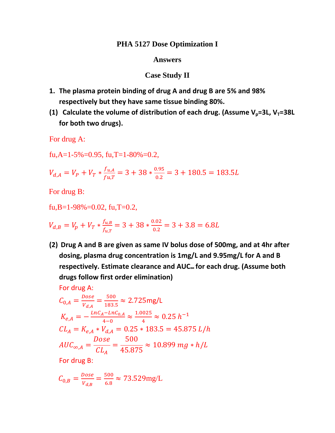## PHA 5127 Dose Optimization I

## **Answers**

## **Case Study II**

- 1. The plasma protein binding of drug A and drug B are 5% and 98% respectively but they have same tissue binding 80%.
- (1) Calculate the volume of distribution of each drug. (Assume  $V_p = 3L$ ,  $V_T = 38L$ for both two drugs).

For drug A:

fu, A=1-5%=0.95, fu, T=1-80%=0.2,

$$
V_{d,A} = V_P + V_T * \frac{f_{u,A}}{fu,T} = 3 + 38 * \frac{0.95}{0.2} = 3 + 180.5 = 183.5L
$$

For drug B:

fu,B=1-98%=0.02, fu,T=0.2,

$$
V_{d,B} = V_p + V_T * \frac{f_{u,B}}{f_{u,T}} = 3 + 38 * \frac{0.02}{0.2} = 3 + 3.8 = 6.8L
$$

(2) Drug A and B are given as same IV bolus dose of 500mg, and at 4hr after dosing, plasma drug concentration is 1mg/L and 9.95mg/L for A and B respectively. Estimate clearance and AUC. for each drug. (Assume both drugs follow first order elimination)

For drug A:

$$
C_{0,A} = \frac{Dose}{V_{d,A}} = \frac{500}{183.5} \approx 2.725 \text{mg/L}
$$
  
\n
$$
K_{e,A} = -\frac{LnC_A - LnC_{0,A}}{4-0} \approx \frac{1.0025}{4} \approx 0.25 \text{ h}^{-1}
$$
  
\n
$$
CL_A = K_{e,A} * V_{d,A} = 0.25 * 183.5 = 45.875 \text{ L/h}
$$
  
\n
$$
AUC_{\infty,A} = \frac{Dose}{CL_A} = \frac{500}{45.875} \approx 10.899 \text{ mg} * h/L
$$

For drug B:

$$
C_{0,B} = \frac{Dose}{V_{d,B}} = \frac{500}{6.8} \approx 73.529 \text{mg/L}
$$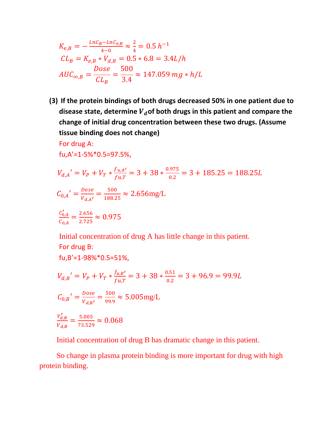$$
K_{e,B} = -\frac{LnC_B - LnC_{0,B}}{4-0} \approx \frac{2}{4} = 0.5 \ h^{-1}
$$
  
\n
$$
CL_B = K_{e,B} * V_{d,B} = 0.5 * 6.8 = 3.4L/h
$$
  
\n
$$
AUC_{\infty,B} = \frac{Dose}{CL_B} = \frac{500}{3.4} \approx 147.059 mg * h/L
$$

**(3) If the protein bindings of both drugs decreased 50% in one patient due to state, determine** ࢊࢂ**of both drugs in this patient and compare the disease change of initial drug concentration between these two drugs. (Assume tissue binding does not change)**

For drug A: fu,A'=1‐5%\*0.5=97.5%,

 $f_{11}$ , B'=1-98% $*$ 0.5=51%

$$
V_{d,A}' = V_P + V_T * \frac{f_{u,A'}}{fu,T} = 3 + 38 * \frac{0.975}{0.2} = 3 + 185.25 = 188.25L
$$
  

$$
C_{0,A}' = \frac{Dose}{V_{d,A'}} = \frac{500}{188.25} \approx 2.656 \text{mg/L}
$$
  

$$
\frac{C'_{0,A}}{C_{0,A}} = \frac{2.656}{2.725} \approx 0.975
$$

Initial concentration of drug A has little change in this patient. For drug B:

$$
V_{d,B}' = V_P + V_T * \frac{f_{u,B}'}{f_{u,T}} = 3 + 38 * \frac{0.51}{0.2} = 3 + 96.9 = 99.9L
$$
  

$$
C_{0,B}' = \frac{Dose}{V_{d,B}'} = \frac{500}{99.9} \approx 5.005 \text{mg/L}
$$
  

$$
\frac{V'_{d,B}}{V_{d,B}} = \frac{5.005}{73.529} \approx 0.068
$$

Initial concentration of drug B has dramatic change in this patient.

 So change in plasma protein binding is more important for drug with high protein binding.